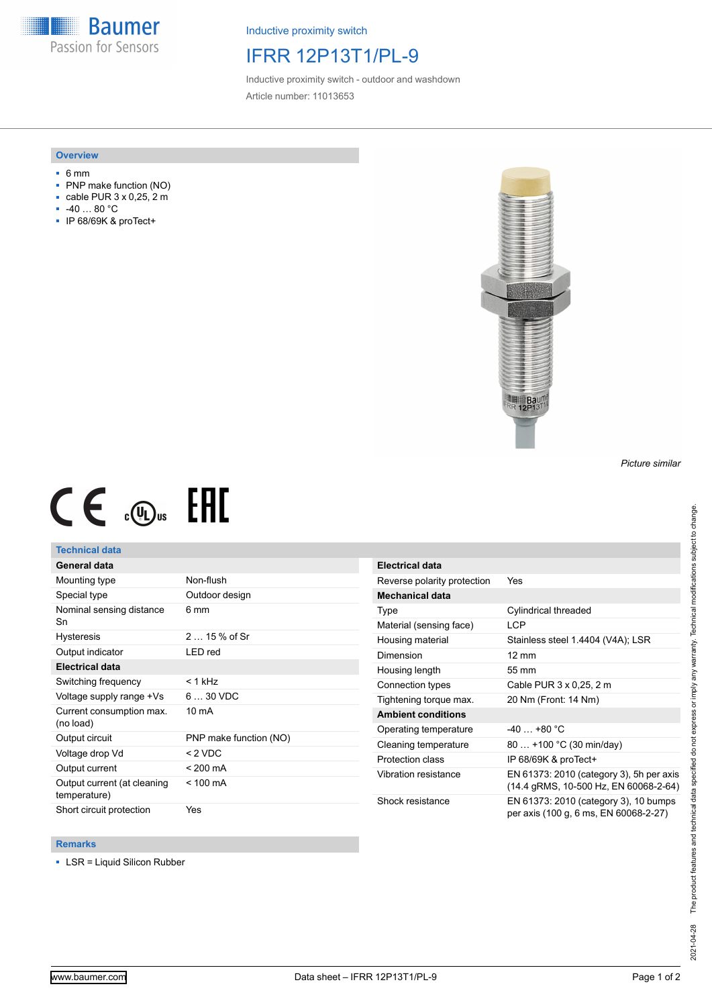**Baumer** Passion for Sensors

Inductive proximity switch

# IFRR 12P13T1/PL-9

Inductive proximity switch - outdoor and washdown Article number: 11013653

#### **Overview**

- 6 mm
- PNP make function (NO)
- cable PUR 3 x 0,25, 2 m
- -40 … 80 °C
- IP 68/69K & proTect+



*Picture similar*

# $CE \mathcal{L}$  ( $\mathcal{L}$  and  $SE$

## **Technical data**

## **General data**

| Mounting type                               | Non-flush              |
|---------------------------------------------|------------------------|
| Special type                                | Outdoor design         |
| Nominal sensing distance<br>Sn              | 6 mm                   |
| <b>Hysteresis</b>                           | $215%$ of Sr           |
| Output indicator                            | LED red                |
| <b>Electrical data</b>                      |                        |
| Switching frequency                         | $<$ 1 kHz              |
| Voltage supply range +Vs                    | $630$ VDC              |
| Current consumption max.<br>(no load)       | $10 \text{ mA}$        |
| Output circuit                              | PNP make function (NO) |
| Voltage drop Vd                             | < 2 VDC                |
| Output current                              | $< 200 \text{ mA}$     |
| Output current (at cleaning<br>temperature) | $< 100 \text{ mA}$     |
| Short circuit protection                    | Yes                    |

| <b>Electrical data</b>      |                                                                                   |
|-----------------------------|-----------------------------------------------------------------------------------|
| Reverse polarity protection | Yes                                                                               |
| Mechanical data             |                                                                                   |
| Type                        | Cylindrical threaded                                                              |
| Material (sensing face)     | LCP                                                                               |
| Housing material            | Stainless steel 1.4404 (V4A); LSR                                                 |
| Dimension                   | $12 \text{ mm}$                                                                   |
| Housing length              | 55 mm                                                                             |
| Connection types            | Cable PUR 3 x 0,25, 2 m                                                           |
| Tightening torque max.      | 20 Nm (Front: 14 Nm)                                                              |
| <b>Ambient conditions</b>   |                                                                                   |
| Operating temperature       | $-40+80 °C$                                                                       |
| Cleaning temperature        | 80  +100 °C (30 min/day)                                                          |
| Protection class            | IP 68/69K & proTect+                                                              |
| Vibration resistance        | EN 61373: 2010 (category 3), 5h per axis<br>(14.4 gRMS, 10-500 Hz, EN 60068-2-64) |
| Shock resistance            | EN 61373: 2010 (category 3), 10 bumps<br>per axis (100 g, 6 ms, EN 60068-2-27)    |

#### **Remarks**

■ LSR = Liquid Silicon Rubber